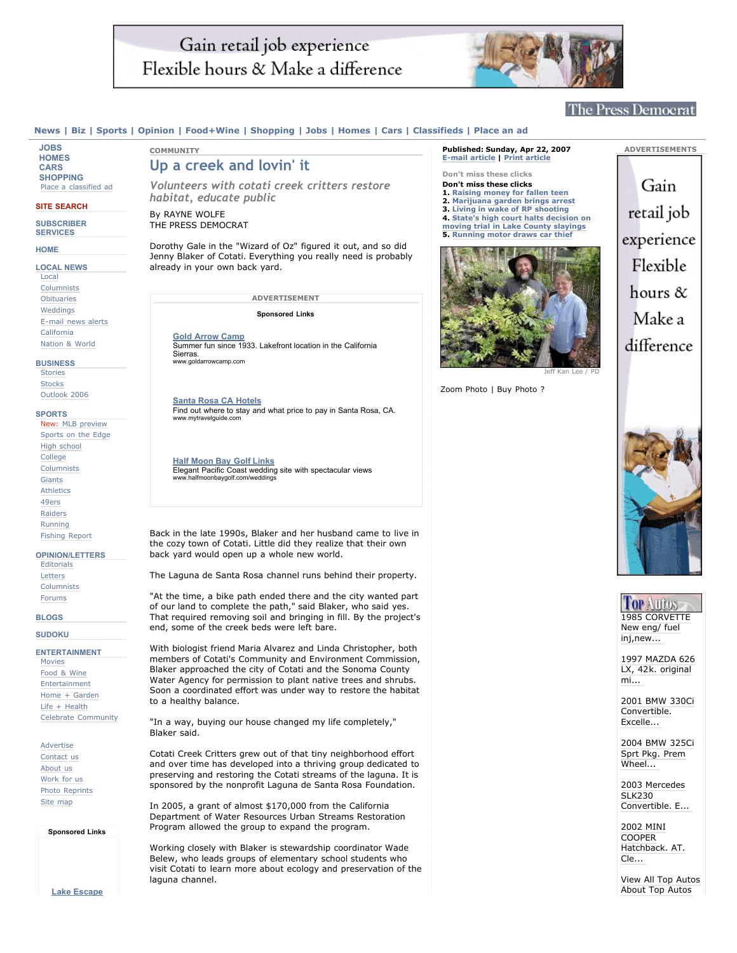# Gain retail job experience Flexible hours & Make a difference



# **The Press Democrat**

### News | Biz | Sports | Opinion | Food+Wine | Shopping | Jobs | Homes | Cars | Classifieds | Place an ad

**JOBS HOMES CARS SHOPPING** Place a classified ad

**SITE SEARCH**

**SUBSCRIBER SERVICES**

### **HOME**

**LOCAL NEWS** Local Columnists Obituaries Weddings E-mail news alerts California Nation & World

#### **BUSINESS**

**Stories Stocks** Outlook 2006

#### **SPORTS**

New: MLB preview Sports on the Edge High school College **Columnists** Giants **Athletics** 49ers Raiders Running Fishing Report **OPINION/LETTERS**

Editorials Letters Columnists Forums

#### **BLOGS**

**SUDOKU**

**ENTERTAINMENT**

Movies Food & Wine Entertainment Home + Garden Life + Health Celebrate Community

Advertise Contact us About us Work for us Photo Reprints Site map

**Sponsored Links**

**Lake Escape**

# **Up a creek and lovin' it**

*Volunteers with cotati creek critters restore habitat, educate public*

By RAYNE WOLFE THE PRESS DEMOCRAT

**COMMUNITY**

Dorothy Gale in the "Wizard of Oz" figured it out, and so did Jenny Blaker of Cotati. Everything you really need is probably already in your own back yard.

**ADVERTISEMENT**

**Sponsored Links**

**Gold Arrow Camp** Summer fun since 1933. Lakefront location in the California Sierras. . ـ ـ ـ ـ ـ<br>goldarrowcamp.com/

**Santa Rosa CA Hotels** Find out where to stay and what price to pay in Santa Rosa, CA. www.mytravelguide.com

**Half Moon Bay Golf Links** Elegant Pacific Coast wedding site with spectacular views www.halfmoonbaygolf.com/weddings

Back in the late 1990s, Blaker and her husband came to live in the cozy town of Cotati. Little did they realize that their own back yard would open up a whole new world.

The Laguna de Santa Rosa channel runs behind their property.

"At the time, a bike path ended there and the city wanted part of our land to complete the path," said Blaker, who said yes. That required removing soil and bringing in fill. By the project's end, some of the creek beds were left bare.

With biologist friend Maria Alvarez and Linda Christopher, both members of Cotati's Community and Environment Commission, Blaker approached the city of Cotati and the Sonoma County Water Agency for permission to plant native trees and shrubs. Soon a coordinated effort was under way to restore the habitat to a healthy balance.

"In a way, buying our house changed my life completely," Blaker said.

Cotati Creek Critters grew out of that tiny neighborhood effort and over time has developed into a thriving group dedicated to preserving and restoring the Cotati streams of the laguna. It is sponsored by the nonprofit Laguna de Santa Rosa Foundation.

In 2005, a grant of almost \$170,000 from the California Department of Water Resources Urban Streams Restoration Program allowed the group to expand the program.

Working closely with Blaker is stewardship coordinator Wade Belew, who leads groups of elementary school students who visit Cotati to learn more about ecology and preservation of the laguna channel.

## **Published: Sunday, Apr 22, 2007 E-mail article | Print article Don't miss these clicks**

#### **Don't miss these clicks**

- **1. Raising money for fallen teen 2. Marijuana garden brings arrest**
- **3. Living in wake of RP shooting**
- **4. State's high court halts decision on**
- **moving trial in Lake County slayings 5. Running motor draws car thief**



Zoom Photo | Buy Photo ?

Gain retail job experience Flexible hours  $\&$ Make a difference

**ADVERTISEMENTS**



# **Top Autos** 1985 CORVETTE New eng/ fuel inj,new...

1997 MAZDA 626 LX, 42k. original mi...

2001 BMW 330Ci Convertible. Excelle...

2004 BMW 325Ci Sprt Pkg. Prem Wheel...

2003 Mercedes SLK<sub>230</sub> Convertible. E...

2002 MINI COOPER Hatchback. AT. Cle...

View All Top Autos About Top Autos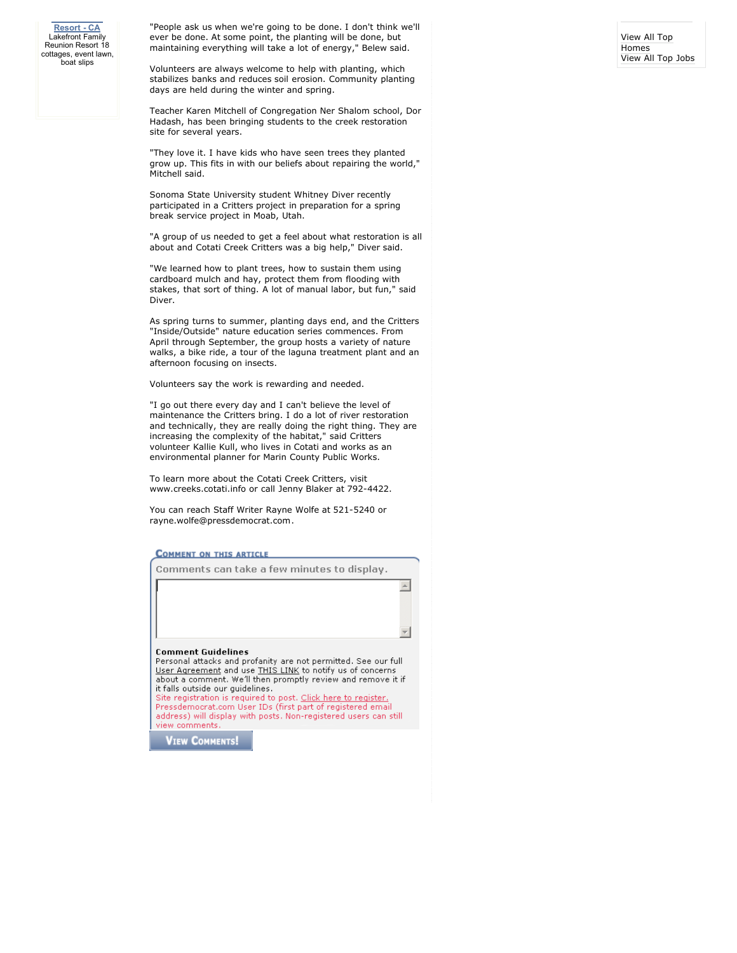**Lake Escape Resort - CA** Lakefront Family Reunion Resort 18 cottages, event lawn, boat slips

"People ask us when we're going to be done. I don't think we'll ever be done. At some point, the planting will be done, but maintaining everything will take a lot of energy," Belew said.

Volunteers are always welcome to help with planting, which stabilizes banks and reduces soil erosion. Community planting days are held during the winter and spring.

Teacher Karen Mitchell of Congregation Ner Shalom school, Dor Hadash, has been bringing students to the creek restoration site for several years.

"They love it. I have kids who have seen trees they planted grow up. This fits in with our beliefs about repairing the world," Mitchell said.

Sonoma State University student Whitney Diver recently participated in a Critters project in preparation for a spring break service project in Moab, Utah.

"A group of us needed to get a feel about what restoration is all about and Cotati Creek Critters was a big help," Diver said.

"We learned how to plant trees, how to sustain them using cardboard mulch and hay, protect them from flooding with stakes, that sort of thing. A lot of manual labor, but fun," said Diver.

As spring turns to summer, planting days end, and the Critters "Inside/Outside" nature education series commences. From April through September, the group hosts a variety of nature walks, a bike ride, a tour of the laguna treatment plant and an afternoon focusing on insects.

Volunteers say the work is rewarding and needed.

"I go out there every day and I can't believe the level of maintenance the Critters bring. I do a lot of river restoration and technically, they are really doing the right thing. They are increasing the complexity of the habitat," said Critters volunteer Kallie Kull, who lives in Cotati and works as an environmental planner for Marin County Public Works.

To learn more about the Cotati Creek Critters, visit www.creeks.cotati.info or call Jenny Blaker at 792-4422.

You can reach Staff Writer Rayne Wolfe at 521-5240 or rayne.wolfe@pressdemocrat.com.

#### **COMMENT ON THIS ARTICLE**

Comments can take a few minutes to display.

 $\leftarrow$ 

**Comment Guidelines** 

Personal attacks and profanity are not permitted. See our full User Agreement and use THIS LINK to notify us of concerns about a comment. We'll then promptly review and remove it if it falls outside our guidelines. Site registration is required to post. Click here to register

Pressdemocrat.com User IDs (first part of registered email address) will display with posts. Non-registered users can still view comments

**VIEW COMMENTS!**